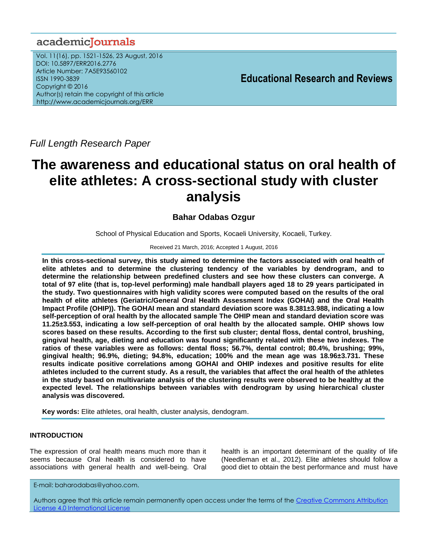# academiclournals

Vol. 11(16), pp. 1521-1526, 23 August, 2016 DOI: 10.5897/ERR2016.2776 Article Number: 7A5E93560102 ISSN 1990-3839 Copyright © 2016 Author(s) retain the copyright of this article http://www.academicjournals.org/ERR

**Educational Research and Reviews**

*Full Length Research Paper*

# **The awareness and educational status on oral health of elite athletes: A cross-sectional study with cluster analysis**

# **Bahar Odabas Ozgur**

School of Physical Education and Sports, Kocaeli University, Kocaeli, Turkey.

Received 21 March, 2016; Accepted 1 August, 2016

**In this cross-sectional survey, this study aimed to determine the factors associated with oral health of elite athletes and to determine the clustering tendency of the variables by dendrogram, and to determine the relationship between predefined clusters and see how these clusters can converge. A total of 97 elite (that is, top-level performing) male handball players aged 18 to 29 years participated in the study. Two questionnaires with high validity scores were computed based on the results of the oral health of elite athletes (Geriatric/General Oral Health Assessment Index (GOHAI) and the Oral Health Impact Profile (OHIP)). The GOHAI mean and standard deviation score was 8.381±3.988, indicating a low self-perception of oral health by the allocated sample The OHIP mean and standard deviation score was 11.25±3.553, indicating a low self-perception of oral health by the allocated sample. OHIP shows low scores based on these results. According to the first sub cluster; dental floss, dental control, brushing, gingival health, age, dieting and education was found significantly related with these two indexes. The ratios of these variables were as follows: dental floss; 56.7%, dental control; 80.4%, brushing; 99%, gingival health; 96.9%, dieting; 94.8%, education; 100% and the mean age was 18.96±3.731. These results indicate positive correlations among GOHAI and OHIP indexes and positive results for elite athletes included to the current study. As a result, the variables that affect the oral health of the athletes in the study based on multivariate analysis of the clustering results were observed to be healthy at the expected level. The relationships between variables with dendrogram by using hierarchical cluster analysis was discovered***.*

**Key words:** Elite athletes, oral health, cluster analysis, dendogram.

# **INTRODUCTION**

The expression of oral health means much more than it seems because Oral health is considered to have associations with general health and well-being. Oral health is an important determinant of the quality of life (Needleman et al., 2012). Elite athletes should follow a good diet to obtain the best performance and must have

E-mail[: baharodabas@yahoo.com.](mailto:baharodabas@yahoo.com)

Authors agree that this article remain permanently open access under the terms of the Creative Commons Attribution [License 4.0 International License](file://192.168.1.24/reading/Arts%20and%20Education/ERR/2014/sept/read/Correction%20Pdf%201/ERR-17.04.14-1816/Publication/Creative%20Co)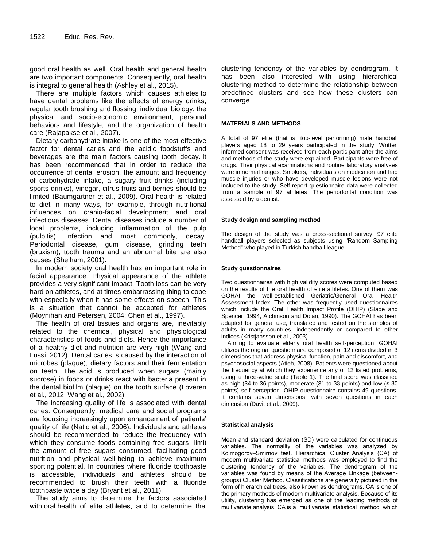good oral health as well. Oral health and general health are two important components. Consequently, oral health is integral to general health (Ashley et al., 2015).

There are multiple factors which causes athletes to have dental problems like the effects of energy drinks, regular tooth brushing and flossing, individual biology, the physical and socio-economic environment, personal behaviors and lifestyle, and the organization of health care (Rajapakse et al., 2007).

Dietary carbohydrate intake is one of the most effective factor for dental caries, and the acidic foodstuffs and beverages are the main factors causing tooth decay. It has been recommended that in order to reduce the occurrence of dental erosion, the amount and frequency of carbohydrate intake, a sugary fruit drinks (including sports drinks), vinegar, citrus fruits and berries should be limited (Baumgartner et al., 2009). Oral health is related to diet in many ways, for example, through nutritional influences on cranio-facial development and oral infectious diseases. Dental diseases include a number of local problems, including inflammation of the pulp (pulpitis), infection and most commonly, decay. Periodontal disease, gum disease, grinding teeth (bruxism), tooth trauma and an abnormal bite are also causes (Sheiham, 2001).

In modern society oral health has an important role in facial appearance. Physical appearance of the athlete provides a very significant impact. Tooth loss can be very hard on athletes, and at times embarrassing thing to cope with especially when it has some effects on speech. This is a situation that cannot be accepted for athletes (Moynihan and Petersen, 2004; Chen et al., 1997).

The health of oral tissues and organs are, inevitably related to the chemical, physical and physiological characteristics of foods and diets. Hence the importance of a healthy diet and nutrition are very high (Wang and Lussi, 2012). Dental caries is caused by the interaction of microbes (plaque), dietary factors and their fermentation on teeth. The acid is produced when sugars (mainly sucrose) in foods or drinks react with bacteria present in the dental biofilm (plaque) on the tooth surface (Loveren et al., 2012; Wang et al., 2002).

The increasing quality of life is associated with [dental](http://dx.doi.org/10.1007/978-0-387-78665-0_5464)  [caries.](http://dx.doi.org/10.1007/978-0-387-78665-0_5464) Consequently, medical care and social programs are focusing increasingly upon enhancement of patients' quality of life (Natio et al., 2006). Individuals and athletes should be recommended to reduce the frequency with which they consume foods containing free sugars, limit the amount of free sugars consumed, facilitating good nutrition and physical well-being to achieve maximum sporting potential. In countries where fluoride toothpaste is accessible, individuals and athletes should be recommended to brush their teeth with a fluoride toothpaste twice a day (Bryant et al., 2011).

The study aims to determine the factors associated with oral health of elite athletes, and to determine the

clustering tendency of the variables by dendrogram. It has been also interested with using hierarchical clustering method to determine the relationship between predefined clusters and see how these clusters can converge.

#### **MATERIALS AND METHODS**

A total of 97 elite (that is, top-level performing) male handball players aged 18 to 29 years participated in the study. Written informed consent was received from each participant after the aims and methods of the study were explained. Participants were free of drugs. Their physical examinations and routine laboratory analyses were in normal ranges. Smokers, individuals on medication and had muscle injuries or who have developed muscle lesions were not included to the study. Self-report questionnaire data were collected from a sample of 97 athletes. The periodontal condition was assessed by a dentist.

#### **Study design and sampling method**

The design of the study was a cross-sectional survey. 97 elite handball players selected as subjects using "Random Sampling Method" who played in Turkish handball league.

#### **Study questionnaires**

Two questionnaires with high validity scores were computed based on the results of the oral health of elite athletes. One of them was GOHAI the well-established Geriatric/General Oral Health Assessment Index. The other was frequently used questionnaires which include the Oral Health Impact Profile (OHIP) (Slade and Spencer, 1994, Atchinson and Dolan, 1990). The GOHAI has been adapted for general use, translated and tested on the samples of adults in many countries, independently or compared to other indices (Kristjansson et al., 2003).

Aiming to evaluate elderly oral health self-perception, GOHAI utilizes the original questionnaire composed of 12 items divided in 3 dimensions that address physical function, pain and discomfort, and psychosocial aspects (Atieh, 2008). Patients were questioned about the frequency at which they experience any of 12 listed problems, using a three-value scale (Table 1). The final score was classified as high (34 to 36 points), moderate (31 to 33 points) and low  $( \leq 30 \text{ m})$ points) self-perception. OHIP questionnaire contains 49 questions. It contains seven dimensions, with seven questions in each dimension (Davit et al., 2009).

#### **Statistical analysis**

Mean and standard deviation (SD) were calculated for continuous variables. The normality of the variables was analyzed by Kolmogorov–Smirnov test. Hierarchical Cluster Analysis (CA) of modern multivariate statistical methods was employed to find the clustering tendency of the variables. The dendrogram of the variables was found by means of the Average Linkage (betweengroups) Cluster Method. Classifications are generally pictured in the form of hierarchical trees, also known as dendrograms. CA is one of the primary methods of modern multivariate analysis. Because of its utility, clustering has emerged as one of the leading methods of multivariate analysis. CA is a multivariate statistical method which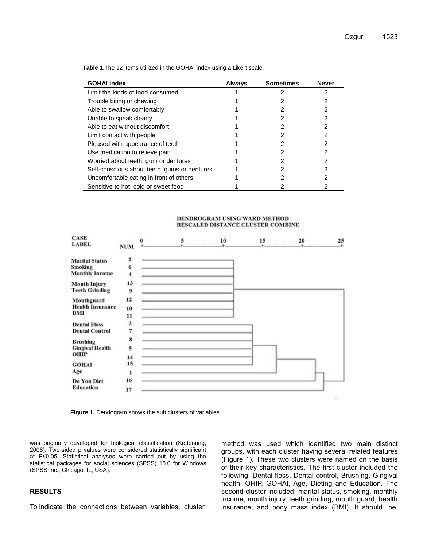| <b>GOHAI index</b>                           | <b>Always</b> | <b>Sometimes</b> | <b>Never</b> |
|----------------------------------------------|---------------|------------------|--------------|
| Limit the kinds of food consumed             |               |                  |              |
| Trouble biting or chewing                    |               |                  |              |
| Able to swallow comfortably                  |               |                  |              |
| Unable to speak clearly                      |               |                  |              |
| Able to eat without discomfort               |               |                  |              |
| Limit contact with people                    |               |                  |              |
| Pleased with appearance of teeth             |               |                  |              |
| Use medication to relieve pain               |               |                  |              |
| Worried about teeth, gum or dentures         |               |                  |              |
| Self-conscious about teeth, gums or dentures |               |                  |              |
| Uncomfortable eating in front of others      |               |                  |              |
| Sensitive to hot, cold or sweet food         |               |                  |              |

**Table 1.**The 12 items utilized in the GOHAI index using a Likert scale.

#### DENDROGRAM USING WARD METHOD RESCALED DISTANCE CLUSTER COMBINE



**Figure 1.** Dendogram shows the sub clusters of variables.

was originally developed for biological classification (Kettenring, 2006). Two-sided p values were considered statistically significant at P≤0.05. Statistical analyses were carried out by using the statistical packages for social sciences (SPSS) 15.0 for Windows (SPSS Inc., Chicago, IL, USA).

## **RESULTS**

To indicate the connections between variables, cluster

method was used which identified two main distinct groups, with each cluster having several related features (Figure 1). These two clusters were named on the basis of their key characteristics. The first cluster included the following: Dental floss, Dental control, Brushing, Gingival health, OHIP, GOHAI, Age, Dieting and Education. The second cluster included; marital status, smoking, monthly income, mouth injury, teeth grinding, mouth guard, health insurance, and body mass index (BMI). It should be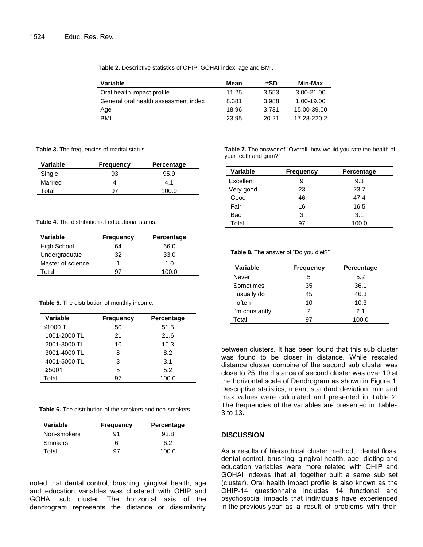**Table 2.** Descriptive statistics of OHIP, GOHAI index, age and BMI.

| Variable                             | Mean  | ±SD   | Min-Max     |
|--------------------------------------|-------|-------|-------------|
| Oral health impact profile           | 11.25 | 3.553 | 3.00-21.00  |
| General oral health assessment index | 8.381 | 3.988 | 1.00-19.00  |
| Age                                  | 18.96 | 3.731 | 15.00-39.00 |
| <b>BMI</b>                           | 23.95 | 20.21 | 17.28-220.2 |

**Table 3.** The frequencies of marital status.

| Variable | <b>Frequency</b> | Percentage |
|----------|------------------|------------|
| Single   | 93               | 95.9       |
| Married  |                  | 4.1        |
| Total    | 97               | 100.0      |

# **Table 4.** The distribution of educational status.

| Variable          | Frequency | Percentage  |
|-------------------|-----------|-------------|
| High School       | 64        | 66.0        |
| Undergraduate     | 32        | 33.0        |
| Master of science |           | 1. $\Omega$ |
| Total             | 97        | 100.0       |

#### **Table 5.** The distribution of monthly income.

| Variable     | <b>Frequency</b> | Percentage |
|--------------|------------------|------------|
| ≤1000 TL     | 50               | 51.5       |
| 1001-2000 TL | 21               | 21.6       |
| 2001-3000 TL | 10               | 10.3       |
| 3001-4000 TL | 8                | 8.2        |
| 4001-5000 TL | 3                | 3.1        |
| ≥5001        | 5                | 5.2        |
| Total        | 97               | 100.0      |

| Variable       | <b>Frequency</b> | Percentage |
|----------------|------------------|------------|
| Non-smokers    | 91               | 93.8       |
| <b>Smokers</b> | 6                | 6.2        |
| Total          | 97               | 100 O      |

noted that dental control, brushing, gingival health, age and education variables was clustered with OHIP and GOHAI sub cluster. The horizontal axis of the dendrogram represents the distance or dissimilarity

**Table 7.** The answer of "Overall, how would you rate the health of your teeth and gum?"

| Variable  | <b>Frequency</b> | Percentage |
|-----------|------------------|------------|
| Excellent | 9                | 9.3        |
| Very good | 23               | 23.7       |
| Good      | 46               | 47.4       |
| Fair      | 16               | 16.5       |
| Bad       | 3                | 3.1        |
| Total     | 97               | 100.0      |

#### **Table 8.** The answer of "Do you diet?"

| <b>Variable</b> | <b>Frequency</b> | Percentage |
|-----------------|------------------|------------|
| Never           | 5                | 5.2        |
| Sometimes       | 35               | 36.1       |
| I usually do    | 45               | 46.3       |
| I often         | 10               | 10.3       |
| I'm constantly  | 2                | 2.1        |
| Total           | 97               | 100.0      |

between clusters. It has been found that this sub cluster was found to be closer in distance. While rescaled distance cluster combine of the second sub cluster was close to 25, the distance of second cluster was over 10 at the horizontal scale of Dendrogram as shown in Figure 1. Descriptive statistics, mean, standard deviation, min and max values were calculated and presented in Table 2. The frequencies of the variables are presented in Tables 3 to 13.

# **DISCUSSION**

As a results of hierarchical cluster method; dental floss, dental control, brushing, gingival health, age, dieting and education variables were more related with OHIP and GOHAI indexes that all together built a same sub set (cluster). Oral health impact profile is also known as the OHIP-14 questionnaire includes 14 functional and psychosocial impacts that individuals have experienced in the previous year as a result of problems with their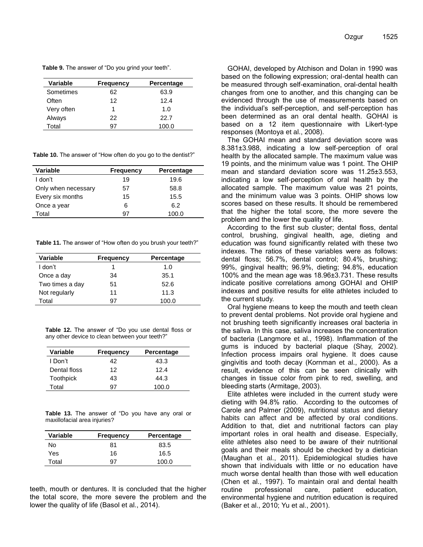**Table 9.** The answer of "Do you grind your teeth".

| Variable   | Frequency | Percentage  |
|------------|-----------|-------------|
| Sometimes  | 62        | 63.9        |
| Often      | 12        | 12.4        |
| Very often |           | 1. $\Omega$ |
| Always     | 22.       | 22.7        |
| Total      | 97        | 100.0       |

**Table 10.** The answer of "How often do you go to the dentist?"

| Variable            | Frequency | Percentage |
|---------------------|-----------|------------|
| I don't             | 19        | 19.6       |
| Only when necessary | 57        | 58.8       |
| Every six months    | 15        | 15.5       |
| Once a year         | 6         | 6.2        |
| Total               | 97        | 100.0      |

**Table 11.** The answer of "How often do you brush your teeth?"

| Variable        | <b>Frequency</b> | Percentage |
|-----------------|------------------|------------|
| I don't         |                  | 1.0        |
| Once a day      | 34               | 35.1       |
| Two times a day | 51               | 52.6       |
| Not regularly   | 11               | 11.3       |
| Total           | 97               | 100.0      |

**Table 12.** The answer of "Do you use dental floss or any other device to clean between your teeth?"

| Variable         | <b>Frequency</b> | Percentage |
|------------------|------------------|------------|
| I Don't          | 42               | 43.3       |
| Dental floss     | 12               | 124        |
| <b>Toothpick</b> | 43               | 44.3       |
| Total            | 97               | 100.0      |

**Table 13.** The answer of "Do you have any oral or maxillofacial area injuries?

| Variable | <b>Frequency</b> | Percentage |
|----------|------------------|------------|
| No       | 81               | 83.5       |
| Yes      | 16               | 16.5       |
| Total    | 97               | 100.0      |

teeth, mouth or dentures. It is concluded that the higher the total score, the more severe the problem and the lower the quality of life (Basol et al., 2014).

GOHAI, developed by Atchison and Dolan in 1990 was based on the following expression; oral-dental health can be measured through self-examination, oral-dental health changes from one to another, and this changing can be evidenced through the use of measurements based on the individual's self-perception, and self-perception has been determined as an oral dental health. GOHAI is based on a 12 item questionnaire with Likert-type responses (Montoya et al., 2008).

The GOHAI mean and standard deviation score was 8.381±3.988, indicating a low self-perception of oral health by the allocated sample. The maximum value was 19 points, and the minimum value was 1 point. The OHIP mean and standard deviation score was 11.25±3.553, indicating a low self-perception of oral health by the allocated sample. The maximum value was 21 points, and the minimum value was 3 points. OHIP shows low scores based on these results. It should be remembered that the higher the total score, the more severe the problem and the lower the quality of life.

According to the first sub cluster; dental floss, dental control, brushing, gingival health, age, dieting and education was found significantly related with these two indexes. The ratios of these variables were as follows: dental floss; 56.7%, dental control; 80.4%, brushing; 99%, gingival health; 96.9%, dieting; 94.8%, education 100% and the mean age was 18.96±3.731. These results indicate positive correlations among GOHAI and OHIP indexes and positive results for elite athletes included to the current study.

Oral hygiene means to keep the mouth and teeth clean to prevent dental problems. Not provide oral hygiene and not brushing teeth significantly increases oral bacteria in the saliva. In this case, saliva increases the concentration of bacteria (Langmore et al., 1998). Inflammation of the gums is induced by bacterial plaque (Shay, 2002). Infection process impairs oral hygiene. It does cause gingivitis and tooth decay (Kornman et al., 2000). As a result, evidence of this can be seen clinically with changes in tissue color from pink to red, swelling, and bleeding starts (Armitage, 2003).

Elite athletes were included in the current study were dieting with 94.8% ratio. According to the outcomes of Carole and Palmer (2009), nutritional status and dietary habits can affect and be affected by oral conditions. Addition to that, diet and nutritional factors can play important roles in oral health and disease. Especially, elite athletes also need to be aware of their nutritional goals and their meals should be checked by a dietician (Maughan et al., 2011). Epidemiological studies have shown that individuals with little or no education have much worse dental health than those with well education (Chen et al., 1997). To maintain oral and dental health routine professional care, patient education, environmental hygiene and nutrition education is required (Baker et al., 2010; Yu et al., 2001).